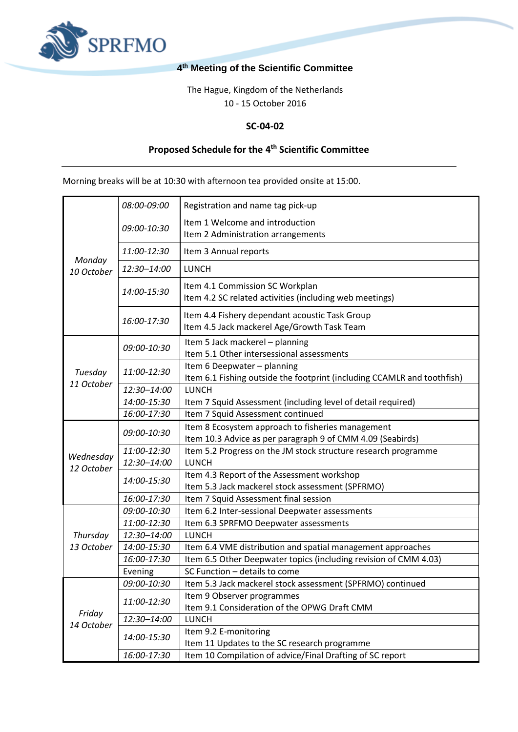

## **4 th Meeting of the Scientific Committee**

The Hague, Kingdom of the Netherlands 10 - 15 October 2016

## **SC-04-02**

## **Proposed Schedule for the 4 th Scientific Committee**

Morning breaks will be at 10:30 with afternoon tea provided onsite at 15:00.

| Monday<br>10 October   | 08:00-09:00 | Registration and name tag pick-up                                                                      |
|------------------------|-------------|--------------------------------------------------------------------------------------------------------|
|                        | 09:00-10:30 | Item 1 Welcome and introduction                                                                        |
|                        |             | Item 2 Administration arrangements                                                                     |
|                        | 11:00-12:30 | Item 3 Annual reports                                                                                  |
|                        | 12:30-14:00 | <b>LUNCH</b>                                                                                           |
|                        | 14:00-15:30 | Item 4.1 Commission SC Workplan<br>Item 4.2 SC related activities (including web meetings)             |
|                        | 16:00-17:30 | Item 4.4 Fishery dependant acoustic Task Group<br>Item 4.5 Jack mackerel Age/Growth Task Team          |
| Tuesday<br>11 October  | 09:00-10:30 | Item 5 Jack mackerel - planning<br>Item 5.1 Other intersessional assessments                           |
|                        | 11:00-12:30 | Item 6 Deepwater - planning<br>Item 6.1 Fishing outside the footprint (including CCAMLR and toothfish) |
|                        | 12:30-14:00 | <b>LUNCH</b>                                                                                           |
|                        | 14:00-15:30 | Item 7 Squid Assessment (including level of detail required)                                           |
|                        | 16:00-17:30 | Item 7 Squid Assessment continued                                                                      |
| Wednesday              | 09:00-10:30 | Item 8 Ecosystem approach to fisheries management                                                      |
|                        |             | Item 10.3 Advice as per paragraph 9 of CMM 4.09 (Seabirds)                                             |
|                        | 11:00-12:30 | Item 5.2 Progress on the JM stock structure research programme                                         |
|                        | 12:30-14:00 | <b>LUNCH</b>                                                                                           |
| 12 October             | 14:00-15:30 | Item 4.3 Report of the Assessment workshop                                                             |
|                        |             | Item 5.3 Jack mackerel stock assessment (SPFRMO)                                                       |
|                        | 16:00-17:30 | Item 7 Squid Assessment final session                                                                  |
| Thursday<br>13 October | 09:00-10:30 | Item 6.2 Inter-sessional Deepwater assessments                                                         |
|                        | 11:00-12:30 | Item 6.3 SPRFMO Deepwater assessments                                                                  |
|                        | 12:30-14:00 | <b>LUNCH</b>                                                                                           |
|                        | 14:00-15:30 | Item 6.4 VME distribution and spatial management approaches                                            |
|                        | 16:00-17:30 | Item 6.5 Other Deepwater topics (including revision of CMM 4.03)                                       |
|                        | Evening     | SC Function - details to come                                                                          |
| Friday<br>14 October   | 09:00-10:30 | Item 5.3 Jack mackerel stock assessment (SPFRMO) continued                                             |
|                        | 11:00-12:30 | Item 9 Observer programmes                                                                             |
|                        |             | Item 9.1 Consideration of the OPWG Draft CMM                                                           |
|                        | 12:30-14:00 | <b>LUNCH</b>                                                                                           |
|                        | 14:00-15:30 | Item 9.2 E-monitoring                                                                                  |
|                        |             | Item 11 Updates to the SC research programme                                                           |
|                        | 16:00-17:30 | Item 10 Compilation of advice/Final Drafting of SC report                                              |